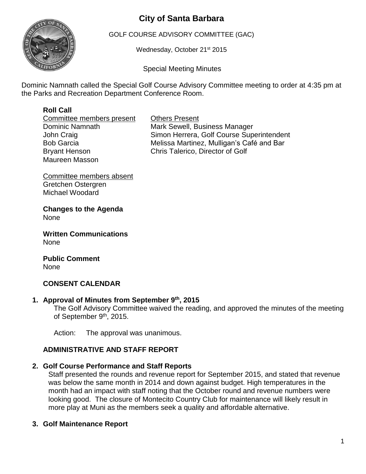# **City of Santa Barbara**



GOLF COURSE ADVISORY COMMITTEE (GAC)

Wednesday, October 21<sup>st</sup> 2015

Special Meeting Minutes

Dominic Namnath called the Special Golf Course Advisory Committee meeting to order at 4:35 pm at the Parks and Recreation Department Conference Room.

## **Roll Call**

Committee members present Others Present Maureen Masson

Dominic Namnath Mark Sewell, Business Manager John Craig **Simon Herrera**, Golf Course Superintendent Bob Garcia **Melissa Martinez, Mulligan's Café and Bar** Bryant Henson Chris Talerico, Director of Golf

Committee members absent Gretchen Ostergren Michael Woodard

**Changes to the Agenda** None

**Written Communications** None

**Public Comment** None

## **CONSENT CALENDAR**

## **1. Approval of Minutes from September 9 th, 2015**

The Golf Advisory Committee waived the reading, and approved the minutes of the meeting of September 9<sup>th</sup>, 2015.

Action: The approval was unanimous.

## **ADMINISTRATIVE AND STAFF REPORT**

#### **2. Golf Course Performance and Staff Reports**

Staff presented the rounds and revenue report for September 2015, and stated that revenue was below the same month in 2014 and down against budget. High temperatures in the month had an impact with staff noting that the October round and revenue numbers were looking good. The closure of Montecito Country Club for maintenance will likely result in more play at Muni as the members seek a quality and affordable alternative.

#### **3. Golf Maintenance Report**